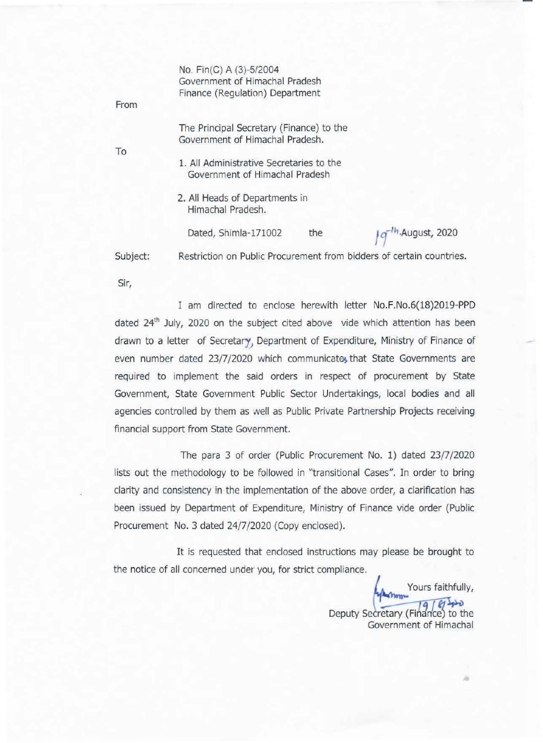•

**Sir,** 

|          | No. Fin(C) A (3)-5/2004<br>Government of Himachal Pradesh                   |              |
|----------|-----------------------------------------------------------------------------|--------------|
| From     | Finance (Regulation) Department                                             |              |
|          | The Principal Secretary (Finance) to the<br>Government of Himachal Pradesh. |              |
| To       |                                                                             |              |
|          | 1. All Administrative Secretaries to the<br>Government of Himachal Pradesh  |              |
|          | 2. All Heads of Departments in<br>Himachal Pradesh.                         |              |
|          | Dated, Shimla-171002<br>the                                                 | August, 2020 |
| Subject: | Restriction on Public Procurement from bidders of certain countries.        |              |
|          |                                                                             |              |

I am directed to enclose herewith letter No.F.No.6(18)2019-PPD dated 24<sup>th</sup> July, 2020 on the subject cited above vide which attention has been drawn to a letter of Secretary, Department of Expenditure, Ministry of Finance of even number dated 23/7/2020 which communicate, that State Governments are **required to implement the said orders in respect of procurement by State** 

**Government, State Government Public Sector Undertakings, local bodies and all**  agencies controlled by them as well as Public Private Partnership Projects receiving **financial support from State Government.** 

The para 3 of order (Public Procurement No. 1) dated 23/7/2020 **lists out the methodology to be followed in "transitional Cases", In order to bring clarity and consistency in the implementation of the above order, a clarification has been issued by Department of Expenditure, Ministry of Finance vide order (Public**  Procurement No. 3 dated 24/7/2020 (Copy enclosed).

**It is requested that enclosed instructions may please be brought to the notice of all concerned under you, for strict compliance,** 

> Yours faithfully,  $191810$ Deputy Secretary (Finance) to the **Government of Himachal**

> > •

-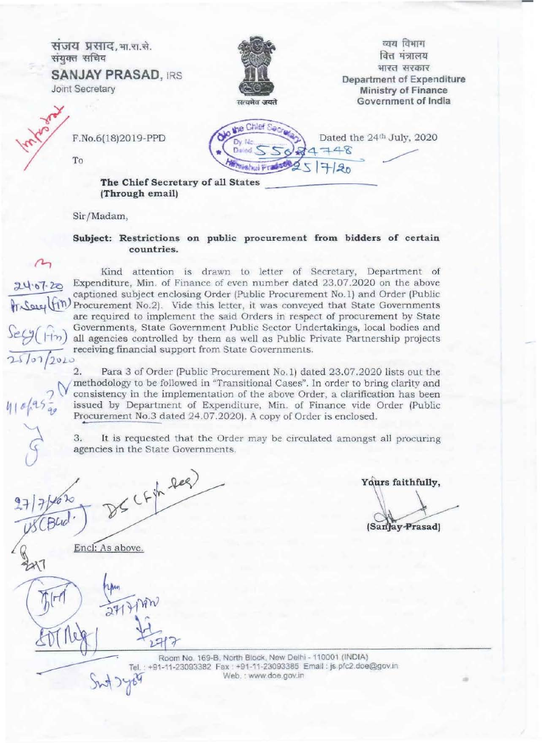

Sir/Madam,

## Subject: Restrictions on public procurement from bidders of certain countries.

 $24020$ tr Secy (tin

Kind attention is drawn to letter of Secretary, Department of Expenditure, Min. of Finance of even number dated 23.07.2020 on the above captioned subject enclosing Order (Public Procurement No.1) and Order (Public Procurement No.2). Vide this letter, it was conveyed that State Governments are required to implement the said Orders in respect of procurement by State Governments, State Government Public Sector Undertakings, local bodies and all agencies controlled by them as well as Public Private Partnership projects receiving financial support from State Governments.

Para 3 of Order (Public Procurement No.1) dated 23.07.2020 lists out the methodology to be followed in "Transitional Cases". In order to bring clarity and consistency in the implementation of the above Order, a clarification has been issued by Department of Expenditure, Min. of Finance vide Order (Public Procurement No.3 dated 24.07.2020). A copy of Order is enclosed.

It is requested that the Order may be circulated amongst all procuring 3. agencies in the State Governments.

Yours faithfully,

(Sanjay-Prasad)

 $2C F^{\frac{1}{11}}$  leg)

Encl: As above.

2 Arm

 $2714$ 

Room No. 169-B, North Block, New Delhi - 110001 (INDIA) Tel.: +91-11-23093382 Fax: +91-11-23093385 Email: js pfc2.doe@gov.in Web. : www.doe.gov.in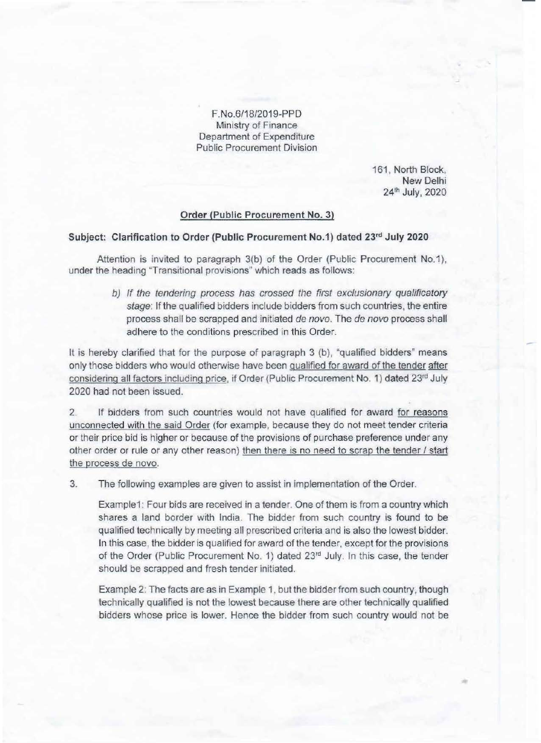F.No.6/18/2019-PPD Ministry of Finance Department of Expenditure Public Procurement Division

> 161, North Block, New Delhi 24" July, 2020

## Order (Public Procurement No. 3)

## Subject: Clarification to Order (Public Procurement No.1) dated 23rd July 2020

Attention is invited to paragraph 3(b) of the Order (Public Procurement No.1), under the heading "Transitional provisions" which reads as follows:

> b) If the tendering process has crossed the first exclusionary qualificatory stage: If the qualified bidders include bidders from such countries, the entire process shall be scrapped and initiated de novo. The de novo process shall adhere to the conditions prescribed in this Order.

It is hereby clarified that for the purpose of paragraph 3 (b), "qualified bidders" means only those bidders who would otherwise have been qualified for award of the tender after considering all factors including price, if Order (Public Procurement No. 1) dated 23rd July 2020 had not been issued.

2. If bidders from such countries would not have qualified for award for reasons unconnected with the said Order (for example, because they do not meet tender criteria or their price bid is higher or because of the provisions of purchase preference under any other order or rule or any other reason) then there is no need to scrap the tender / start the process de novo.

3. The following examples are given to assist in implementation of the Order.

Example1: Four bids are received in a tender. One of them is from a country which shares a land border with India. The bidder from such country is found to be qualified technically by meeting all prescribed criteria and is also the lowest bidder. In this case, the bidder is qualified for award of the tender, except for the provisions of the Order (Public Procurement No. 1) dated 23rd July. In this case, the tender should be scrapped and fresh tender initiated.

Example 2: The facts are as in Example 1. but the bidder from such country, though technically qualified is not the lowest because there are other technically qualified bidders whose price is lower. Hence the bidder from such country would not be -

•